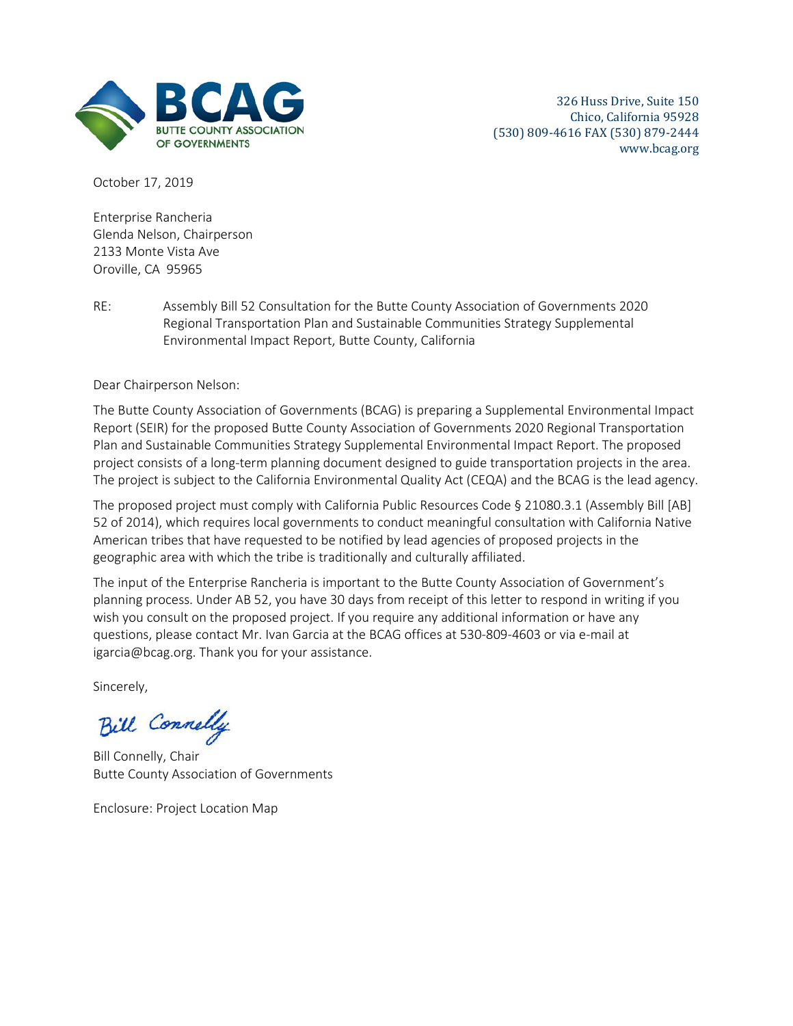

October 17, 2019

Enterprise Rancheria Glenda Nelson, Chairperson 2133 Monte Vista Ave Oroville, CA 95965

RE: Assembly Bill 52 Consultation for the Butte County Association of Governments 2020 Regional Transportation Plan and Sustainable Communities Strategy Supplemental Environmental Impact Report, Butte County, California

Dear Chairperson Nelson:

The Butte County Association of Governments (BCAG) is preparing a Supplemental Environmental Impact Report (SEIR) for the proposed Butte County Association of Governments 2020 Regional Transportation Plan and Sustainable Communities Strategy Supplemental Environmental Impact Report. The proposed project consists of a long-term planning document designed to guide transportation projects in the area. The project is subject to the California Environmental Quality Act (CEQA) and the BCAG is the lead agency.

The proposed project must comply with California Public Resources Code § 21080.3.1 (Assembly Bill [AB] 52 of 2014), which requires local governments to conduct meaningful consultation with California Native American tribes that have requested to be notified by lead agencies of proposed projects in the geographic area with which the tribe is traditionally and culturally affiliated.

The input of the Enterprise Rancheria is important to the Butte County Association of Government's planning process. Under AB 52, you have 30 days from receipt of this letter to respond in writing if you wish you consult on the proposed project. If you require any additional information or have any questions, please contact Mr. Ivan Garcia at the BCAG offices at 530-809-4603 or via e-mail at igarcia@bcag.org. Thank you for your assistance.

Sincerely,

Bill Connelly

Bill Connelly, Chair Butte County Association of Governments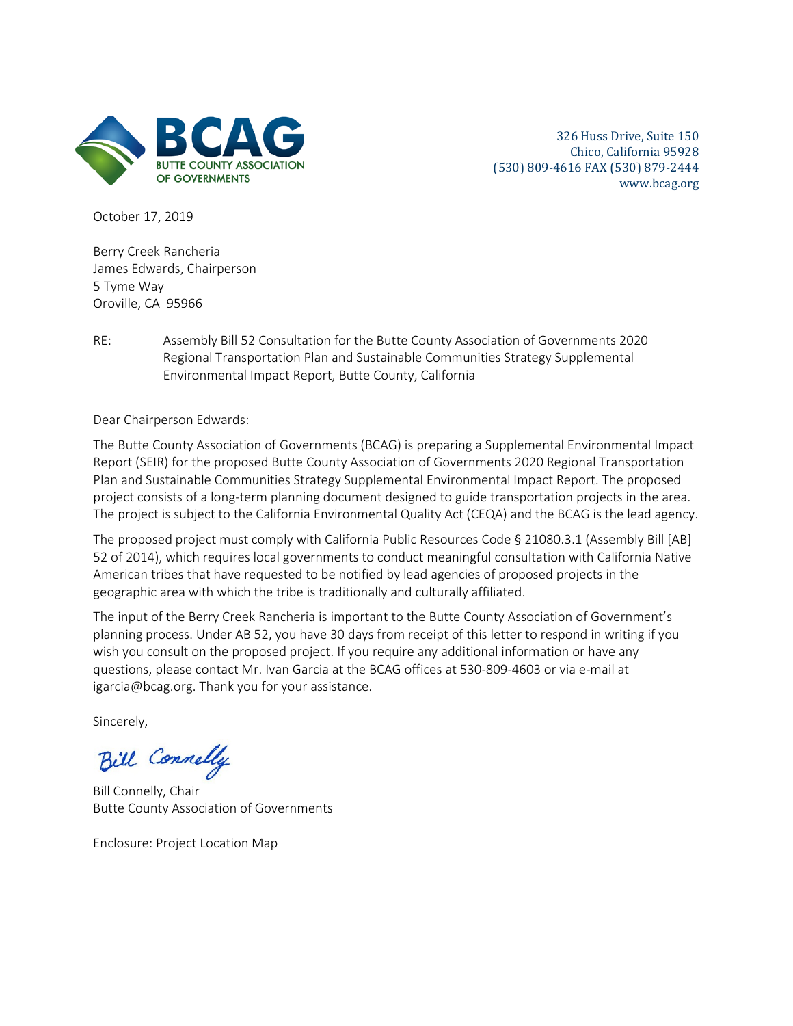

October 17, 2019

Berry Creek Rancheria James Edwards, Chairperson 5 Tyme Way Oroville, CA 95966

RE: Assembly Bill 52 Consultation for the Butte County Association of Governments 2020 Regional Transportation Plan and Sustainable Communities Strategy Supplemental Environmental Impact Report, Butte County, California

Dear Chairperson Edwards:

The Butte County Association of Governments (BCAG) is preparing a Supplemental Environmental Impact Report (SEIR) for the proposed Butte County Association of Governments 2020 Regional Transportation Plan and Sustainable Communities Strategy Supplemental Environmental Impact Report. The proposed project consists of a long-term planning document designed to guide transportation projects in the area. The project is subject to the California Environmental Quality Act (CEQA) and the BCAG is the lead agency.

The proposed project must comply with California Public Resources Code § 21080.3.1 (Assembly Bill [AB] 52 of 2014), which requires local governments to conduct meaningful consultation with California Native American tribes that have requested to be notified by lead agencies of proposed projects in the geographic area with which the tribe is traditionally and culturally affiliated.

The input of the Berry Creek Rancheria is important to the Butte County Association of Government's planning process. Under AB 52, you have 30 days from receipt of this letter to respond in writing if you wish you consult on the proposed project. If you require any additional information or have any questions, please contact Mr. Ivan Garcia at the BCAG offices at 530-809-4603 or via e-mail at igarcia@bcag.org. Thank you for your assistance.

Sincerely,

Bill Connelly

Bill Connelly, Chair Butte County Association of Governments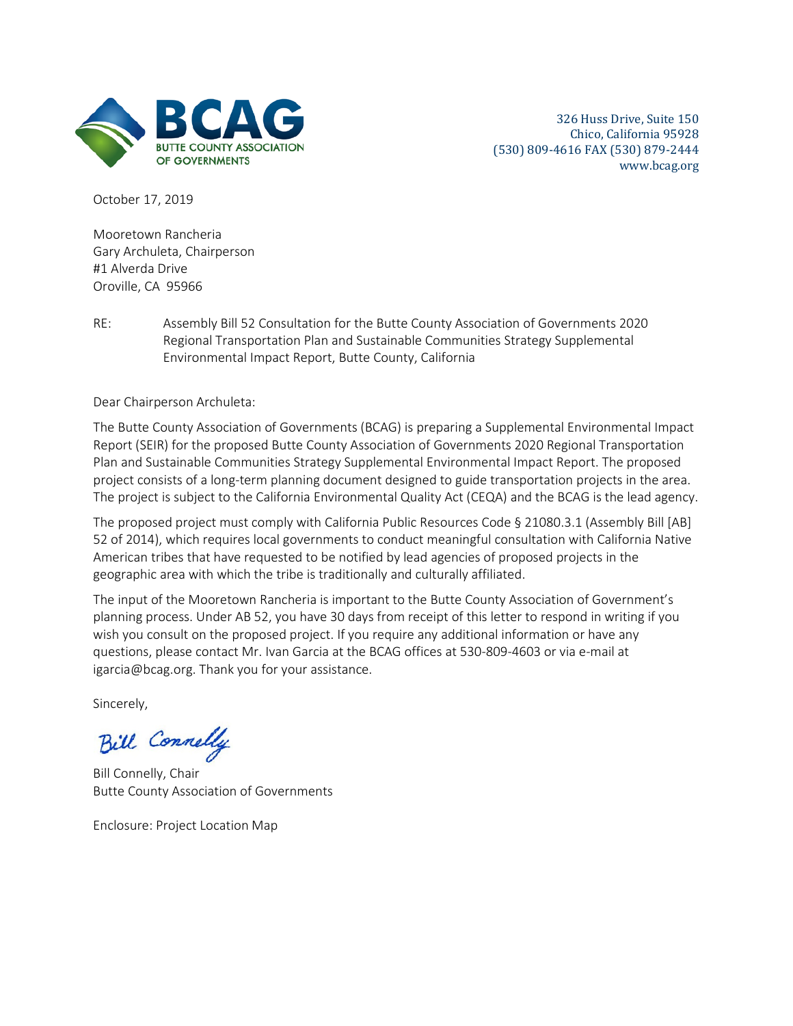

October 17, 2019

Mooretown Rancheria Gary Archuleta, Chairperson #1 Alverda Drive Oroville, CA 95966

RE: Assembly Bill 52 Consultation for the Butte County Association of Governments 2020 Regional Transportation Plan and Sustainable Communities Strategy Supplemental Environmental Impact Report, Butte County, California

Dear Chairperson Archuleta:

The Butte County Association of Governments (BCAG) is preparing a Supplemental Environmental Impact Report (SEIR) for the proposed Butte County Association of Governments 2020 Regional Transportation Plan and Sustainable Communities Strategy Supplemental Environmental Impact Report. The proposed project consists of a long-term planning document designed to guide transportation projects in the area. The project is subject to the California Environmental Quality Act (CEQA) and the BCAG is the lead agency.

The proposed project must comply with California Public Resources Code § 21080.3.1 (Assembly Bill [AB] 52 of 2014), which requires local governments to conduct meaningful consultation with California Native American tribes that have requested to be notified by lead agencies of proposed projects in the geographic area with which the tribe is traditionally and culturally affiliated.

The input of the Mooretown Rancheria is important to the Butte County Association of Government's planning process. Under AB 52, you have 30 days from receipt of this letter to respond in writing if you wish you consult on the proposed project. If you require any additional information or have any questions, please contact Mr. Ivan Garcia at the BCAG offices at 530-809-4603 or via e-mail at igarcia@bcag.org. Thank you for your assistance.

Sincerely,

Bill Connelly

Bill Connelly, Chair Butte County Association of Governments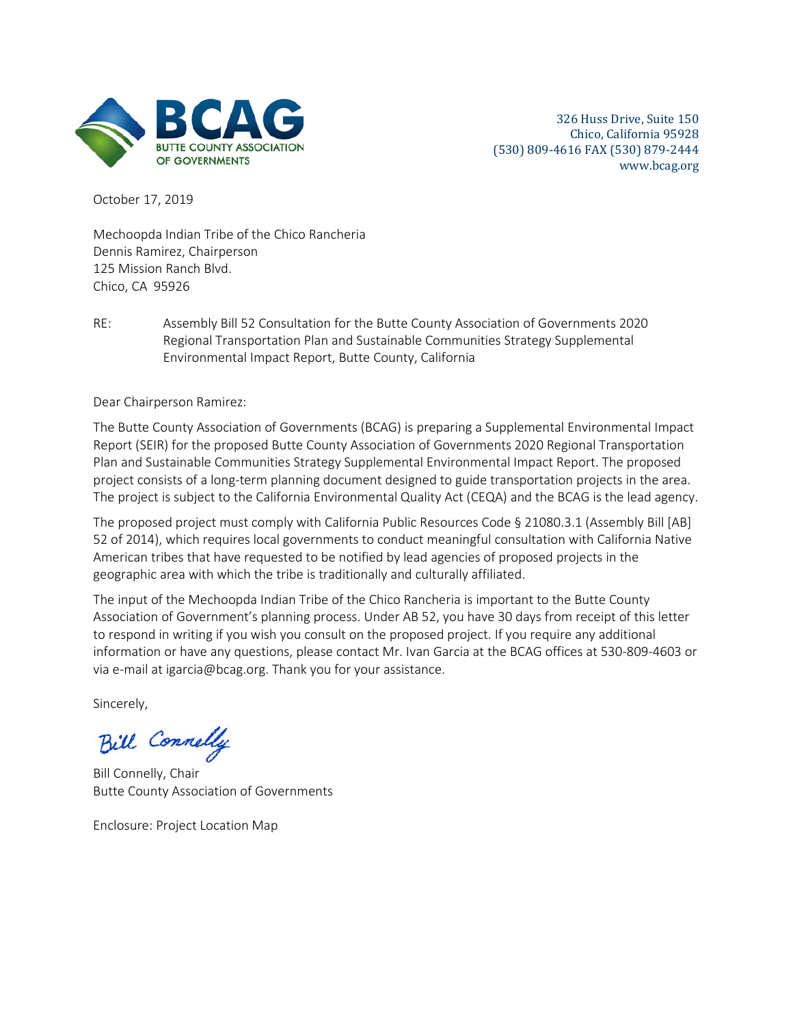

October 17, 2019

Mechoopda Indian Tribe of the Chico Rancheria Dennis Ramirez, Chairperson 125 Mission Ranch Blvd. Chico, CA 95926

RE: Assembly Bill 52 Consultation for the Butte County Association of Governments 2020 Regional Transportation Plan and Sustainable Communities Strategy Supplemental Environmental Impact Report, Butte County, California

Dear Chairperson Ramirez:

The Butte County Association of Governments (BCAG) is preparing a Supplemental Environmental Impact Report (SEIR) for the proposed Butte County Association of Governments 2020 Regional Transportation Plan and Sustainable Communities Strategy Supplemental Environmental Impact Report. The proposed project consists of a long-term planning document designed to guide transportation projects in the area. The project is subject to the California Environmental Quality Act (CEQA) and the BCAG is the lead agency.

The proposed project must comply with California Public Resources Code § 21080.3.1 (Assembly Bill [AB] 52 of 2014), which requires local governments to conduct meaningful consultation with California Native American tribes that have requested to be notified by lead agencies of proposed projects in the geographic area with which the tribe is traditionally and culturally affiliated.

The input of the Mechoopda Indian Tribe of the Chico Rancheria is important to the Butte County Association of Government's planning process. Under AB 52, you have 30 days from receipt of this letter to respond in writing if you wish you consult on the proposed project. If you require any additional information or have any questions, please contact Mr. Ivan Garcia at the BCAG offices at 530-809-4603 or via e-mail at igarcia@bcag.org. Thank you for your assistance.

Sincerely,

Bill Connelly

Bill Connelly, Chair Butte County Association of Governments